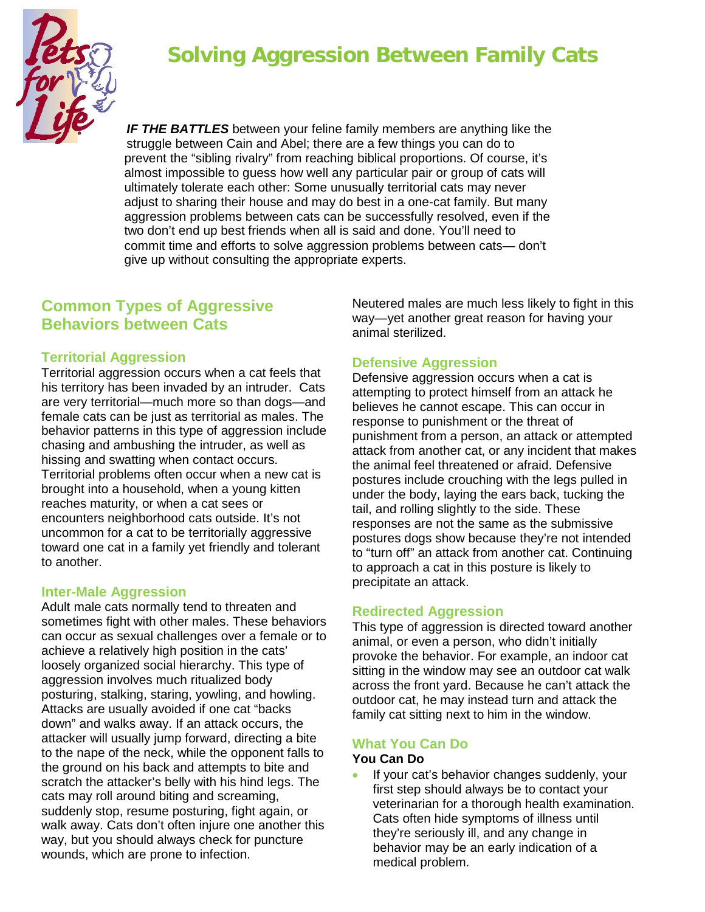

# **Solving Aggression Between Family Cats**

*IF THE BATTLES* between your feline family members are anything like the struggle between Cain and Abel; there are a few things you can do to prevent the "sibling rivalry" from reaching biblical proportions. Of course, it's almost impossible to guess how well any particular pair or group of cats will ultimately tolerate each other: Some unusually territorial cats may never adjust to sharing their house and may do best in a one-cat family. But many aggression problems between cats can be successfully resolved, even if the two don't end up best friends when all is said and done. You'll need to commit time and efforts to solve aggression problems between cats— don't give up without consulting the appropriate experts.

# **Common Types of Aggressive Behaviors between Cats**

#### **Territorial Aggression**

Territorial aggression occurs when a cat feels that his territory has been invaded by an intruder. Cats are very territorial—much more so than dogs—and female cats can be just as territorial as males. The behavior patterns in this type of aggression include chasing and ambushing the intruder, as well as hissing and swatting when contact occurs. Territorial problems often occur when a new cat is brought into a household, when a young kitten reaches maturity, or when a cat sees or encounters neighborhood cats outside. It's not uncommon for a cat to be territorially aggressive toward one cat in a family yet friendly and tolerant to another.

#### **Inter-Male Aggression**

Adult male cats normally tend to threaten and sometimes fight with other males. These behaviors can occur as sexual challenges over a female or to achieve a relatively high position in the cats' loosely organized social hierarchy. This type of aggression involves much ritualized body posturing, stalking, staring, yowling, and howling. Attacks are usually avoided if one cat "backs down" and walks away. If an attack occurs, the attacker will usually jump forward, directing a bite to the nape of the neck, while the opponent falls to the ground on his back and attempts to bite and scratch the attacker's belly with his hind legs. The cats may roll around biting and screaming, suddenly stop, resume posturing, fight again, or walk away. Cats don't often injure one another this way, but you should always check for puncture wounds, which are prone to infection.

Neutered males are much less likely to fight in this way—yet another great reason for having your animal sterilized.

## **Defensive Aggression**

Defensive aggression occurs when a cat is attempting to protect himself from an attack he believes he cannot escape. This can occur in response to punishment or the threat of punishment from a person, an attack or attempted attack from another cat, or any incident that makes the animal feel threatened or afraid. Defensive postures include crouching with the legs pulled in under the body, laying the ears back, tucking the tail, and rolling slightly to the side. These responses are not the same as the submissive postures dogs show because they're not intended to "turn off" an attack from another cat. Continuing to approach a cat in this posture is likely to precipitate an attack.

## **Redirected Aggression**

This type of aggression is directed toward another animal, or even a person, who didn't initially provoke the behavior. For example, an indoor cat sitting in the window may see an outdoor cat walk across the front yard. Because he can't attack the outdoor cat, he may instead turn and attack the family cat sitting next to him in the window.

# **What You Can Do**

#### **You Can Do**

• If your cat's behavior changes suddenly, your first step should always be to contact your veterinarian for a thorough health examination. Cats often hide symptoms of illness until they're seriously ill, and any change in behavior may be an early indication of a medical problem.